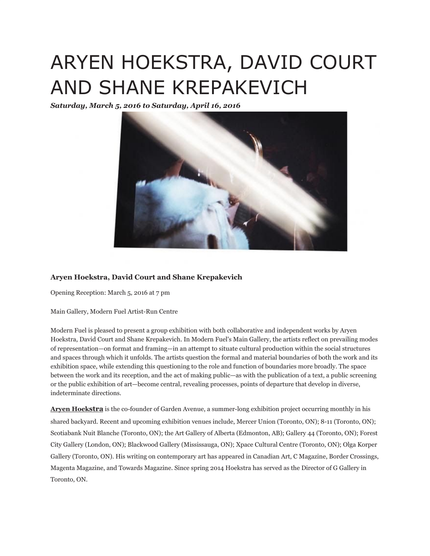## ARYEN HOEKSTRA, DAVID COURT AND SHANE KREPAKEVICH

*Saturday, March 5, 2016 to Saturday, April 16, 2016*



## **Aryen Hoekstra, David Court and Shane Krepakevich**

Opening Reception: March 5, 2016 at 7 pm

Main Gallery, Modern Fuel Artist-Run Centre

Modern Fuel is pleased to present a group exhibition with both collaborative and independent works by Aryen Hoekstra, David Court and Shane Krepakevich. In Modern Fuel's Main Gallery, the artists reflect on prevailing modes of representation—on format and framing—in an attempt to situate cultural production within the social structures and spaces through which it unfolds. The artists question the formal and material boundaries of both the work and its exhibition space, while extending this questioning to the role and function of boundaries more broadly. The space between the work and its reception, and the act of making public—as with the publication of a text, a public screening or the public exhibition of art—become central, revealing processes, points of departure that develop in diverse, indeterminate directions.

**Aryen Hoekstra** is the co-founder of Garden Avenue, a summer-long exhibition project occurring monthly in his shared backyard. Recent and upcoming exhibition venues include, Mercer Union (Toronto, ON); 8-11 (Toronto, ON); Scotiabank Nuit Blanche (Toronto, ON); the Art Gallery of Alberta (Edmonton, AB); Gallery 44 (Toronto, ON); Forest City Gallery (London, ON); Blackwood Gallery (Mississauga, ON); Xpace Cultural Centre (Toronto, ON); Olga Korper Gallery (Toronto, ON). His writing on contemporary art has appeared in Canadian Art, C Magazine, Border Crossings, Magenta Magazine, and Towards Magazine. Since spring 2014 Hoekstra has served as the Director of G Gallery in Toronto, ON.